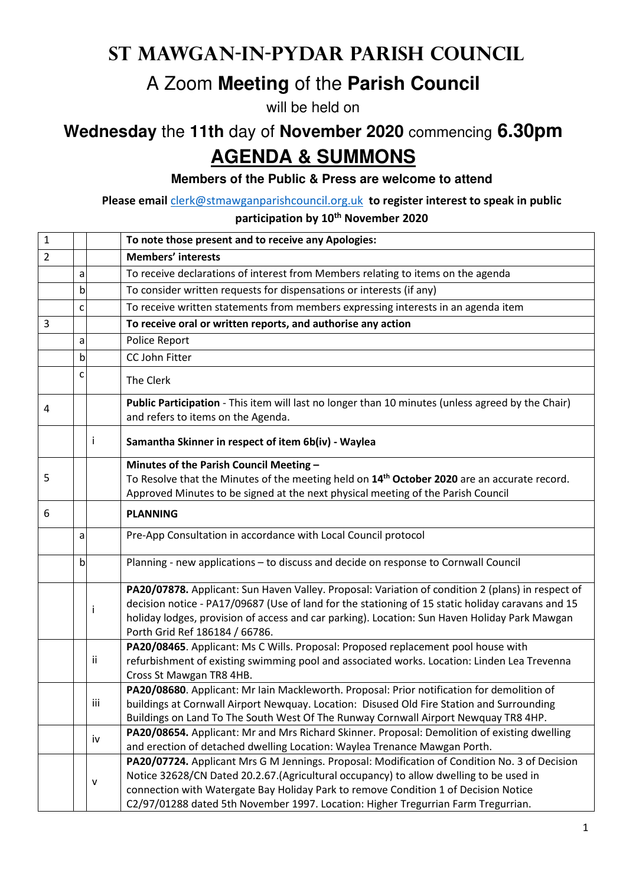## **St Mawgan-in-Pydar Parish Council**

## A Zoom **Meeting** of the **Parish Council**

will be held on

## **Wednesday** the **11th** day of **November 2020** commencing **6.30pm AGENDA & SUMMONS**

**Members of the Public & Press are welcome to attend**

**Please email** clerk@stmawganparishcouncil.org.uk **to register interest to speak in public** 

**participation by 10th November 2020**

| $\mathbf 1$    |   |     | To note those present and to receive any Apologies:                                                                                                                                          |
|----------------|---|-----|----------------------------------------------------------------------------------------------------------------------------------------------------------------------------------------------|
| $\overline{2}$ |   |     | <b>Members' interests</b>                                                                                                                                                                    |
|                | a |     | To receive declarations of interest from Members relating to items on the agenda                                                                                                             |
|                | b |     | To consider written requests for dispensations or interests (if any)                                                                                                                         |
|                | C |     | To receive written statements from members expressing interests in an agenda item                                                                                                            |
| 3              |   |     | To receive oral or written reports, and authorise any action                                                                                                                                 |
|                | a |     | Police Report                                                                                                                                                                                |
|                | b |     | CC John Fitter                                                                                                                                                                               |
|                | c |     | The Clerk                                                                                                                                                                                    |
| 4              |   |     | Public Participation - This item will last no longer than 10 minutes (unless agreed by the Chair)<br>and refers to items on the Agenda.                                                      |
|                |   | i.  | Samantha Skinner in respect of item 6b(iv) - Waylea                                                                                                                                          |
|                |   |     | Minutes of the Parish Council Meeting -                                                                                                                                                      |
| 5              |   |     | To Resolve that the Minutes of the meeting held on 14 <sup>th</sup> October 2020 are an accurate record.<br>Approved Minutes to be signed at the next physical meeting of the Parish Council |
| 6              |   |     | <b>PLANNING</b>                                                                                                                                                                              |
|                | a |     | Pre-App Consultation in accordance with Local Council protocol                                                                                                                               |
|                | b |     | Planning - new applications - to discuss and decide on response to Cornwall Council                                                                                                          |
|                |   |     | PA20/07878. Applicant: Sun Haven Valley. Proposal: Variation of condition 2 (plans) in respect of                                                                                            |
|                |   | i   | decision notice - PA17/09687 (Use of land for the stationing of 15 static holiday caravans and 15                                                                                            |
|                |   |     | holiday lodges, provision of access and car parking). Location: Sun Haven Holiday Park Mawgan                                                                                                |
|                |   |     | Porth Grid Ref 186184 / 66786.                                                                                                                                                               |
|                |   | ii  | PA20/08465. Applicant: Ms C Wills. Proposal: Proposed replacement pool house with<br>refurbishment of existing swimming pool and associated works. Location: Linden Lea Trevenna             |
|                |   |     | Cross St Mawgan TR8 4HB.                                                                                                                                                                     |
|                |   |     | PA20/08680. Applicant: Mr Iain Mackleworth. Proposal: Prior notification for demolition of                                                                                                   |
|                |   | iii | buildings at Cornwall Airport Newquay. Location: Disused Old Fire Station and Surrounding                                                                                                    |
|                |   |     | Buildings on Land To The South West Of The Runway Cornwall Airport Newquay TR8 4HP.                                                                                                          |
|                |   | iv  | PA20/08654. Applicant: Mr and Mrs Richard Skinner. Proposal: Demolition of existing dwelling                                                                                                 |
|                |   |     | and erection of detached dwelling Location: Waylea Trenance Mawgan Porth.                                                                                                                    |
|                |   |     | PA20/07724. Applicant Mrs G M Jennings. Proposal: Modification of Condition No. 3 of Decision                                                                                                |
|                |   | v   | Notice 32628/CN Dated 20.2.67. (Agricultural occupancy) to allow dwelling to be used in                                                                                                      |
|                |   |     | connection with Watergate Bay Holiday Park to remove Condition 1 of Decision Notice                                                                                                          |
|                |   |     | C2/97/01288 dated 5th November 1997. Location: Higher Tregurrian Farm Tregurrian.                                                                                                            |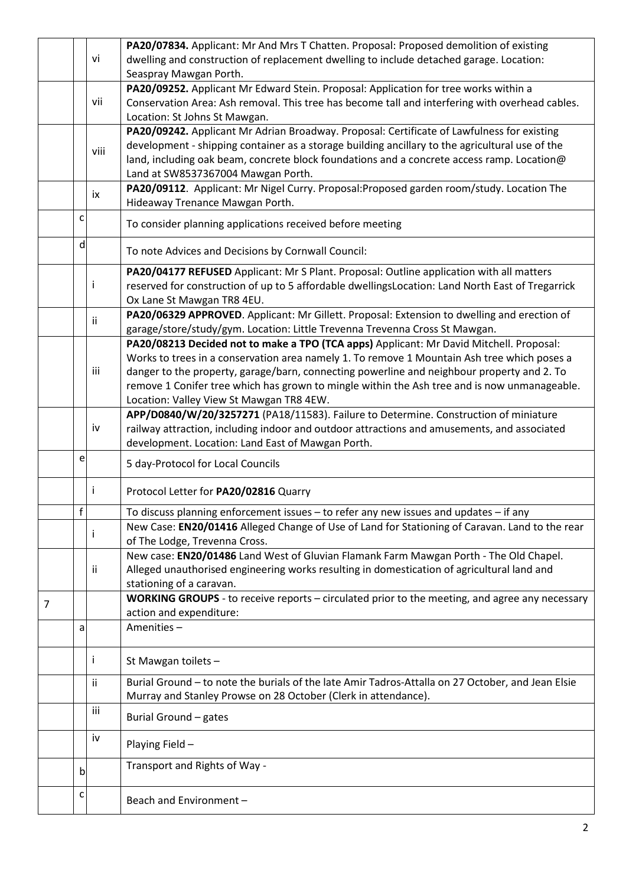|   |    |      | PA20/07834. Applicant: Mr And Mrs T Chatten. Proposal: Proposed demolition of existing                                                                                              |
|---|----|------|-------------------------------------------------------------------------------------------------------------------------------------------------------------------------------------|
|   |    | vi   | dwelling and construction of replacement dwelling to include detached garage. Location:                                                                                             |
|   |    |      | Seaspray Mawgan Porth.                                                                                                                                                              |
|   |    |      | PA20/09252. Applicant Mr Edward Stein. Proposal: Application for tree works within a                                                                                                |
|   |    | vii  | Conservation Area: Ash removal. This tree has become tall and interfering with overhead cables.                                                                                     |
|   |    |      | Location: St Johns St Mawgan.                                                                                                                                                       |
|   |    |      | PA20/09242. Applicant Mr Adrian Broadway. Proposal: Certificate of Lawfulness for existing                                                                                          |
|   |    | viii | development - shipping container as a storage building ancillary to the agricultural use of the                                                                                     |
|   |    |      | land, including oak beam, concrete block foundations and a concrete access ramp. Location@                                                                                          |
|   |    |      | Land at SW8537367004 Mawgan Porth.                                                                                                                                                  |
|   |    | ix   | PA20/09112. Applicant: Mr Nigel Curry. Proposal: Proposed garden room/study. Location The                                                                                           |
|   |    |      | Hideaway Trenance Mawgan Porth.                                                                                                                                                     |
|   | c  |      | To consider planning applications received before meeting                                                                                                                           |
|   | d  |      | To note Advices and Decisions by Cornwall Council:                                                                                                                                  |
|   |    |      | PA20/04177 REFUSED Applicant: Mr S Plant. Proposal: Outline application with all matters                                                                                            |
|   |    |      | reserved for construction of up to 5 affordable dwellingsLocation: Land North East of Tregarrick                                                                                    |
|   |    |      | Ox Lane St Mawgan TR8 4EU.                                                                                                                                                          |
|   |    | ii.  | PA20/06329 APPROVED. Applicant: Mr Gillett. Proposal: Extension to dwelling and erection of                                                                                         |
|   |    |      | garage/store/study/gym. Location: Little Trevenna Trevenna Cross St Mawgan.                                                                                                         |
|   |    |      | PA20/08213 Decided not to make a TPO (TCA apps) Applicant: Mr David Mitchell. Proposal:                                                                                             |
|   |    |      | Works to trees in a conservation area namely 1. To remove 1 Mountain Ash tree which poses a                                                                                         |
|   |    | iii  | danger to the property, garage/barn, connecting powerline and neighbour property and 2. To                                                                                          |
|   |    |      | remove 1 Conifer tree which has grown to mingle within the Ash tree and is now unmanageable.                                                                                        |
|   |    |      | Location: Valley View St Mawgan TR8 4EW.                                                                                                                                            |
|   |    | iv   | APP/D0840/W/20/3257271 (PA18/11583). Failure to Determine. Construction of miniature<br>railway attraction, including indoor and outdoor attractions and amusements, and associated |
|   |    |      | development. Location: Land East of Mawgan Porth.                                                                                                                                   |
|   | e  |      |                                                                                                                                                                                     |
|   |    |      | 5 day-Protocol for Local Councils                                                                                                                                                   |
|   |    | Ť    | Protocol Letter for PA20/02816 Quarry                                                                                                                                               |
|   | Ť. |      | To discuss planning enforcement issues - to refer any new issues and updates - if any                                                                                               |
|   |    |      | New Case: EN20/01416 Alleged Change of Use of Land for Stationing of Caravan. Land to the rear                                                                                      |
|   |    |      | of The Lodge, Trevenna Cross.                                                                                                                                                       |
|   |    |      | New case: EN20/01486 Land West of Gluvian Flamank Farm Mawgan Porth - The Old Chapel.                                                                                               |
|   |    | ii.  | Alleged unauthorised engineering works resulting in domestication of agricultural land and                                                                                          |
|   |    |      | stationing of a caravan.                                                                                                                                                            |
| 7 |    |      | WORKING GROUPS - to receive reports - circulated prior to the meeting, and agree any necessary                                                                                      |
|   |    |      | action and expenditure:                                                                                                                                                             |
|   | a  |      | Amenities-                                                                                                                                                                          |
|   |    | Ť    | St Mawgan toilets -                                                                                                                                                                 |
|   |    | ii.  | Burial Ground - to note the burials of the late Amir Tadros-Attalla on 27 October, and Jean Elsie                                                                                   |
|   |    |      | Murray and Stanley Prowse on 28 October (Clerk in attendance).                                                                                                                      |
|   |    | iii  | Burial Ground - gates                                                                                                                                                               |
|   |    | iv   | Playing Field-                                                                                                                                                                      |
|   |    |      |                                                                                                                                                                                     |
|   | b  |      | Transport and Rights of Way -                                                                                                                                                       |
|   | c  |      | Beach and Environment-                                                                                                                                                              |
|   |    |      |                                                                                                                                                                                     |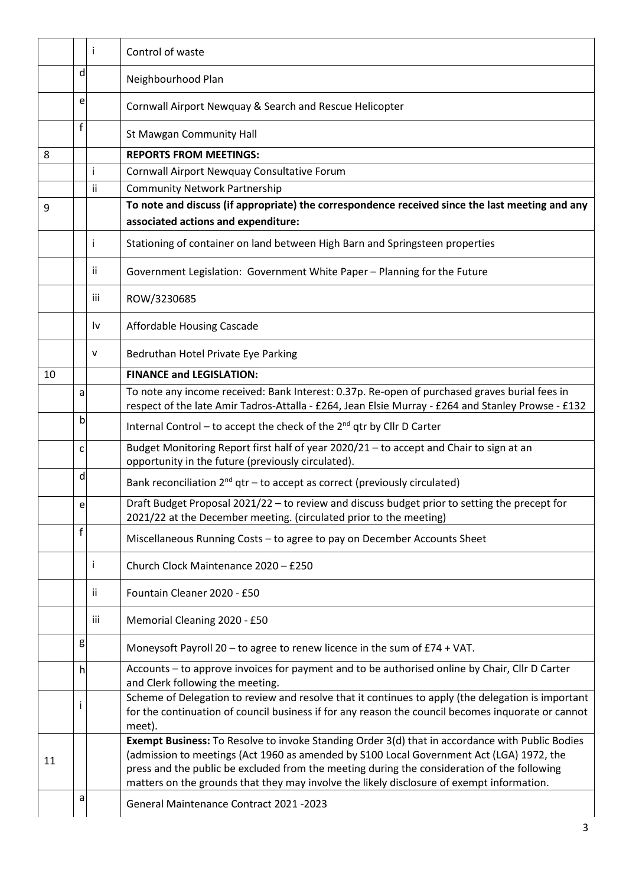|    |   | j.  | Control of waste                                                                                                                                                                                                                                                                                                                                                                        |
|----|---|-----|-----------------------------------------------------------------------------------------------------------------------------------------------------------------------------------------------------------------------------------------------------------------------------------------------------------------------------------------------------------------------------------------|
|    | d |     | Neighbourhood Plan                                                                                                                                                                                                                                                                                                                                                                      |
|    | e |     | Cornwall Airport Newquay & Search and Rescue Helicopter                                                                                                                                                                                                                                                                                                                                 |
|    | f |     | St Mawgan Community Hall                                                                                                                                                                                                                                                                                                                                                                |
| 8  |   |     | <b>REPORTS FROM MEETINGS:</b>                                                                                                                                                                                                                                                                                                                                                           |
|    |   | i   | Cornwall Airport Newquay Consultative Forum                                                                                                                                                                                                                                                                                                                                             |
|    |   | ii  | <b>Community Network Partnership</b>                                                                                                                                                                                                                                                                                                                                                    |
| 9  |   |     | To note and discuss (if appropriate) the correspondence received since the last meeting and any<br>associated actions and expenditure:                                                                                                                                                                                                                                                  |
|    |   | i   | Stationing of container on land between High Barn and Springsteen properties                                                                                                                                                                                                                                                                                                            |
|    |   | Ϊİ  | Government Legislation: Government White Paper - Planning for the Future                                                                                                                                                                                                                                                                                                                |
|    |   | iii | ROW/3230685                                                                                                                                                                                                                                                                                                                                                                             |
|    |   | I٧  | Affordable Housing Cascade                                                                                                                                                                                                                                                                                                                                                              |
|    |   | v   | Bedruthan Hotel Private Eye Parking                                                                                                                                                                                                                                                                                                                                                     |
| 10 |   |     | <b>FINANCE and LEGISLATION:</b>                                                                                                                                                                                                                                                                                                                                                         |
|    | a |     | To note any income received: Bank Interest: 0.37p. Re-open of purchased graves burial fees in<br>respect of the late Amir Tadros-Attalla - £264, Jean Elsie Murray - £264 and Stanley Prowse - £132                                                                                                                                                                                     |
|    | b |     | Internal Control - to accept the check of the 2 <sup>nd</sup> qtr by Cllr D Carter                                                                                                                                                                                                                                                                                                      |
|    | c |     | Budget Monitoring Report first half of year 2020/21 - to accept and Chair to sign at an<br>opportunity in the future (previously circulated).                                                                                                                                                                                                                                           |
|    | d |     | Bank reconciliation $2^{nd}$ qtr – to accept as correct (previously circulated)                                                                                                                                                                                                                                                                                                         |
|    | e |     | Draft Budget Proposal 2021/22 - to review and discuss budget prior to setting the precept for<br>2021/22 at the December meeting. (circulated prior to the meeting)                                                                                                                                                                                                                     |
|    | f |     | Miscellaneous Running Costs - to agree to pay on December Accounts Sheet                                                                                                                                                                                                                                                                                                                |
|    |   | T   | Church Clock Maintenance 2020 - £250                                                                                                                                                                                                                                                                                                                                                    |
|    |   | Ϊİ  | Fountain Cleaner 2020 - £50                                                                                                                                                                                                                                                                                                                                                             |
|    |   | iii | Memorial Cleaning 2020 - £50                                                                                                                                                                                                                                                                                                                                                            |
|    | g |     | Moneysoft Payroll 20 - to agree to renew licence in the sum of £74 + VAT.                                                                                                                                                                                                                                                                                                               |
|    | h |     | Accounts - to approve invoices for payment and to be authorised online by Chair, Cllr D Carter<br>and Clerk following the meeting.                                                                                                                                                                                                                                                      |
|    |   |     | Scheme of Delegation to review and resolve that it continues to apply (the delegation is important<br>for the continuation of council business if for any reason the council becomes inquorate or cannot<br>meet).                                                                                                                                                                      |
| 11 |   |     | Exempt Business: To Resolve to invoke Standing Order 3(d) that in accordance with Public Bodies<br>(admission to meetings (Act 1960 as amended by S100 Local Government Act (LGA) 1972, the<br>press and the public be excluded from the meeting during the consideration of the following<br>matters on the grounds that they may involve the likely disclosure of exempt information. |
|    | a |     | General Maintenance Contract 2021 -2023                                                                                                                                                                                                                                                                                                                                                 |
|    |   |     | 3                                                                                                                                                                                                                                                                                                                                                                                       |